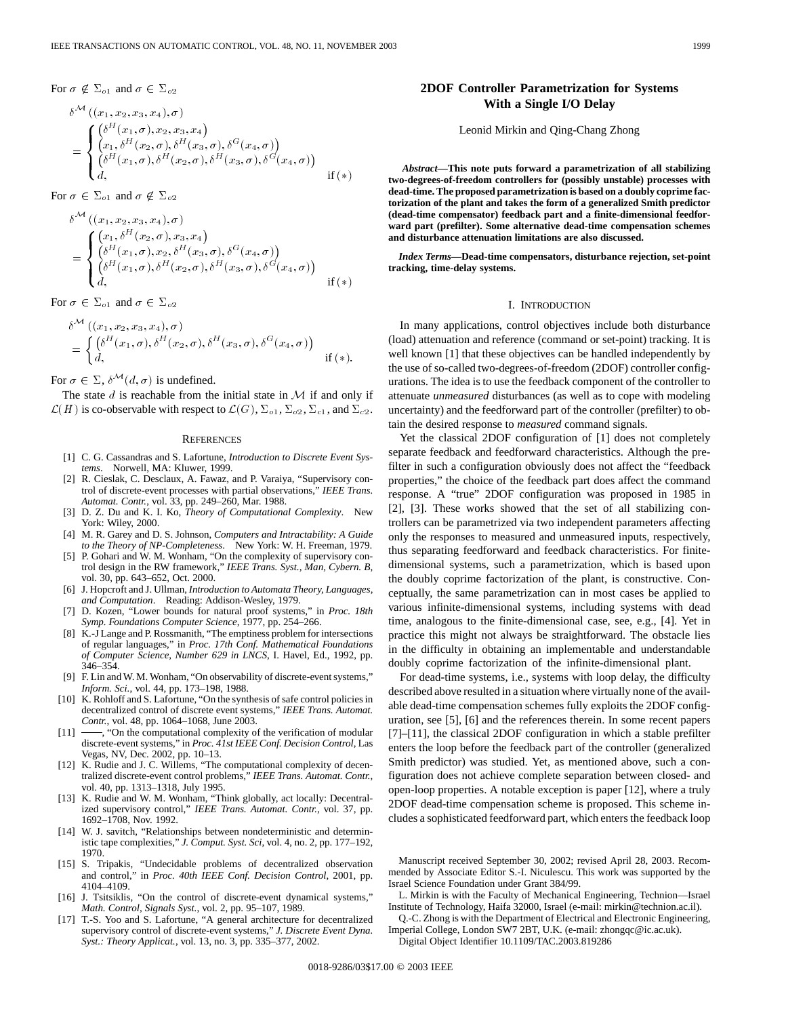For  $\sigma \notin \Sigma_{o1}$  and  $\sigma \in \Sigma_{o2}$ 

$$
\delta^{\mathcal{M}}((x_1, x_2, x_3, x_4), \sigma) \n= \begin{cases}\n(\delta^{H}(x_1, \sigma), x_2, x_3, x_4) \\
(x_1, \delta^{H}(x_2, \sigma), \delta^{H}(x_3, \sigma), \delta^{G}(x_4, \sigma)) \\
(\delta^{H}(x_1, \sigma), \delta^{H}(x_2, \sigma), \delta^{H}(x_3, \sigma), \delta^{G}(x_4, \sigma)) \\
d, & \text{if } (*)\n\end{cases}
$$

For  $\sigma \in \Sigma_{o1}$  and  $\sigma \notin \Sigma_{o2}$ 

$$
\delta^{\mathcal{M}}((x_1, x_2, x_3, x_4), \sigma) \n= \begin{cases}\n(x_1, \delta^H(x_2, \sigma), x_3, x_4) \\
(\delta^H(x_1, \sigma), x_2, \delta^H(x_3, \sigma), \delta^G(x_4, \sigma)) \\
(\delta^H(x_1, \sigma), \delta^H(x_2, \sigma), \delta^H(x_3, \sigma), \delta^G(x_4, \sigma)) \\
d, & \text{if } (*)\n\end{cases}
$$

For  $\sigma \in \Sigma_{o1}$  and  $\sigma \in \Sigma_{o2}$ 

$$
\delta^{\mathcal{M}}((x_1, x_2, x_3, x_4), \sigma) = \begin{cases}\n(\delta^H(x_1, \sigma), \delta^H(x_2, \sigma), \delta^H(x_3, \sigma), \delta^G(x_4, \sigma)) \\
d, & \text{if } (*).\n\end{cases}
$$

For  $\sigma \in \Sigma$ ,  $\delta^{\mathcal{M}}(d, \sigma)$  is undefined.

The state  $d$  is reachable from the initial state in  $\mathcal M$  if and only if  $\mathcal{L}(H)$  is co-observable with respect to  $\mathcal{L}(G)$ ,  $\Sigma_{o1}$ ,  $\Sigma_{o2}$ ,  $\Sigma_{c1}$ , and  $\Sigma_{c2}$ .

#### **REFERENCES**

- [1] C. G. Cassandras and S. Lafortune, *Introduction to Discrete Event Systems*. Norwell, MA: Kluwer, 1999.
- [2] R. Cieslak, C. Desclaux, A. Fawaz, and P. Varaiya, "Supervisory control of discrete-event processes with partial observations," *IEEE Trans. Automat. Contr.*, vol. 33, pp. 249–260, Mar. 1988.
- [3] D. Z. Du and K. I. Ko, *Theory of Computational Complexity*. New York: Wiley, 2000.
- [4] M. R. Garey and D. S. Johnson, *Computers and Intractability: A Guide to the Theory of NP-Completeness*. New York: W. H. Freeman, 1979.
- [5] P. Gohari and W. M. Wonham, "On the complexity of supervisory control design in the RW framework," *IEEE Trans. Syst., Man, Cybern. B*, vol. 30, pp. 643–652, Oct. 2000.
- [6] J. Hopcroft and J. Ullman, *Introduction to Automata Theory, Languages, and Computation*. Reading: Addison-Wesley, 1979.
- [7] D. Kozen, "Lower bounds for natural proof systems," in *Proc. 18th Symp. Foundations Computer Science*, 1977, pp. 254–266.
- [8] K.-J Lange and P. Rossmanith, "The emptiness problem for intersections of regular languages," in *Proc. 17th Conf. Mathematical Foundations of Computer Science, Number 629 in LNCS*, I. Havel, Ed., 1992, pp. 346–354.
- [9] F. Lin and W. M. Wonham, "On observability of discrete-event systems," *Inform. Sci.*, vol. 44, pp. 173–198, 1988.
- [10] K. Rohloff and S. Lafortune, "On the synthesis of safe control policies in decentralized control of discrete event systems," *IEEE Trans. Automat. Contr.*, vol. 48, pp. 1064–1068, June 2003.
- $[11]$   $\longrightarrow$ , "On the computational complexity of the verification of modular discrete-event systems," in *Proc. 41st IEEE Conf. Decision Control*, Las Vegas, NV, Dec. 2002, pp. 10–13.
- [12] K. Rudie and J. C. Willems, "The computational complexity of decentralized discrete-event control problems," *IEEE Trans. Automat. Contr.*, vol. 40, pp. 1313–1318, July 1995.
- [13] K. Rudie and W. M. Wonham, "Think globally, act locally: Decentralized supervisory control," *IEEE Trans. Automat. Contr.*, vol. 37, pp. 1692–1708, Nov. 1992.
- [14] W. J. savitch, "Relationships between nondeterministic and deterministic tape complexities," *J. Comput. Syst. Sci*, vol. 4, no. 2, pp. 177–192, 1970.
- [15] S. Tripakis, "Undecidable problems of decentralized observation and control," in *Proc. 40th IEEE Conf. Decision Control*, 2001, pp. 4104–4109.
- [16] J. Tsitsiklis, "On the control of discrete-event dynamical systems," *Math. Control, Signals Syst.*, vol. 2, pp. 95–107, 1989.
- [17] T.-S. Yoo and S. Lafortune, "A general architecture for decentralized supervisory control of discrete-event systems," *J. Discrete Event Dyna. Syst.: Theory Applicat.*, vol. 13, no. 3, pp. 335–377, 2002.

# **2DOF Controller Parametrization for Systems With a Single I/O Delay**

Leonid Mirkin and Qing-Chang Zhong

*Abstract—***This note puts forward a parametrization of all stabilizing two-degrees-of-freedom controllers for (possibly unstable) processes with dead-time. The proposed parametrization is based on a doubly coprime factorization of the plant and takes the form of a generalized Smith predictor (dead-time compensator) feedback part and a finite-dimensional feedforward part (prefilter). Some alternative dead-time compensation schemes and disturbance attenuation limitations are also discussed.**

*Index Terms—***Dead-time compensators, disturbance rejection, set-point tracking, time-delay systems.**

# I. INTRODUCTION

In many applications, control objectives include both disturbance (load) attenuation and reference (command or set-point) tracking. It is well known [1] that these objectives can be handled independently by the use of so-called two-degrees-of-freedom (2DOF) controller configurations. The idea is to use the feedback component of the controller to attenuate *unmeasured* disturbances (as well as to cope with modeling uncertainty) and the feedforward part of the controller (prefilter) to obtain the desired response to *measured* command signals.

Yet the classical 2DOF configuration of [1] does not completely separate feedback and feedforward characteristics. Although the prefilter in such a configuration obviously does not affect the "feedback properties," the choice of the feedback part does affect the command response. A "true" 2DOF configuration was proposed in 1985 in [2], [3]. These works showed that the set of all stabilizing controllers can be parametrized via two independent parameters affecting only the responses to measured and unmeasured inputs, respectively, thus separating feedforward and feedback characteristics. For finitedimensional systems, such a parametrization, which is based upon the doubly coprime factorization of the plant, is constructive. Conceptually, the same parametrization can in most cases be applied to various infinite-dimensional systems, including systems with dead time, analogous to the finite-dimensional case, see, e.g., [4]. Yet in practice this might not always be straightforward. The obstacle lies in the difficulty in obtaining an implementable and understandable doubly coprime factorization of the infinite-dimensional plant.

For dead-time systems, i.e., systems with loop delay, the difficulty described above resulted in a situation where virtually none of the available dead-time compensation schemes fully exploits the 2DOF configuration, see [5], [6] and the references therein. In some recent papers [7]–[11], the classical 2DOF configuration in which a stable prefilter enters the loop before the feedback part of the controller (generalized Smith predictor) was studied. Yet, as mentioned above, such a configuration does not achieve complete separation between closed- and open-loop properties. A notable exception is paper [12], where a truly 2DOF dead-time compensation scheme is proposed. This scheme includes a sophisticated feedforward part, which enters the feedback loop

Manuscript received September 30, 2002; revised April 28, 2003. Recommended by Associate Editor S.-I. Niculescu. This work was supported by the Israel Science Foundation under Grant 384/99.

L. Mirkin is with the Faculty of Mechanical Engineering, Technion—Israel Institute of Technology, Haifa 32000, Israel (e-mail: mirkin@technion.ac.il).

Q.-C. Zhong is with the Department of Electrical and Electronic Engineering, Imperial College, London SW7 2BT, U.K. (e-mail: zhongqc@ic.ac.uk).

Digital Object Identifier 10.1109/TAC.2003.819286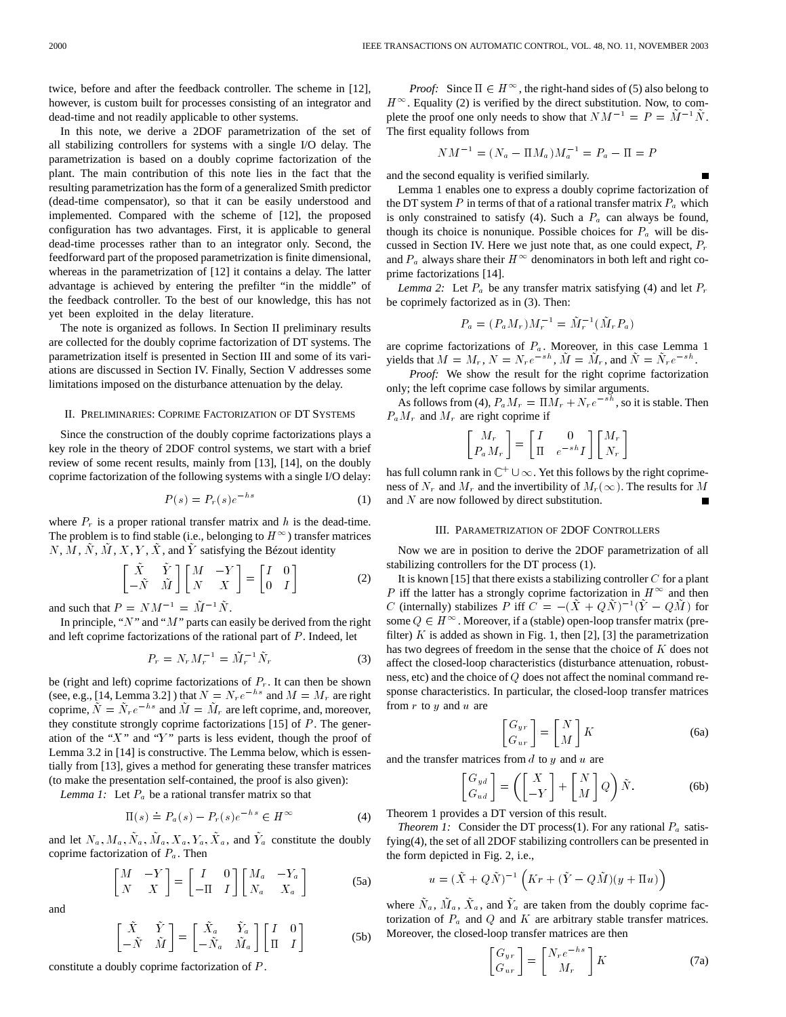twice, before and after the feedback controller. The scheme in [12], however, is custom built for processes consisting of an integrator and dead-time and not readily applicable to other systems.

In this note, we derive a 2DOF parametrization of the set of all stabilizing controllers for systems with a single I/O delay. The parametrization is based on a doubly coprime factorization of the plant. The main contribution of this note lies in the fact that the resulting parametrization has the form of a generalized Smith predictor (dead-time compensator), so that it can be easily understood and implemented. Compared with the scheme of [12], the proposed configuration has two advantages. First, it is applicable to general dead-time processes rather than to an integrator only. Second, the feedforward part of the proposed parametrization is finite dimensional, whereas in the parametrization of [12] it contains a delay. The latter advantage is achieved by entering the prefilter "in the middle" of the feedback controller. To the best of our knowledge, this has not yet been exploited in the delay literature.

The note is organized as follows. In Section II preliminary results are collected for the doubly coprime factorization of DT systems. The parametrization itself is presented in Section III and some of its variations are discussed in Section IV. Finally, Section V addresses some limitations imposed on the disturbance attenuation by the delay.

### II. PRELIMINARIES: COPRIME FACTORIZATION OF DT SYSTEMS

Since the construction of the doubly coprime factorizations plays a key role in the theory of 2DOF control systems, we start with a brief review of some recent results, mainly from [13], [14], on the doubly coprime factorization of the following systems with a single I/O delay:

$$
P(s) = P_r(s)e^{-hs}
$$
 (1)

where  $P_r$  is a proper rational transfer matrix and h is the dead-time. The problem is to find stable (i.e., belonging to  $H^{\infty}$ ) transfer matrices  $N, M, \tilde{N}, \tilde{M}, X, Y, \tilde{X}$ , and  $\tilde{Y}$  satisfying the Bézout identity

$$
\begin{bmatrix} \tilde{X} & \tilde{Y} \\ -\tilde{N} & \tilde{M} \end{bmatrix} \begin{bmatrix} M & -Y \\ N & X \end{bmatrix} = \begin{bmatrix} I & 0 \\ 0 & I \end{bmatrix}
$$
 (2)

and such that  $P = N M^{-1} = \tilde{M}^{-1} \tilde{N}$ .

In principle, " $N$ " and " $M$ " parts can easily be derived from the right and left coprime factorizations of the rational part of  $P$ . Indeed, let

$$
P_r = N_r M_r^{-1} = \tilde{M}_r^{-1} \tilde{N}_r
$$
 (3)

be (right and left) coprime factorizations of  $P_r$ . It can then be shown (see, e.g., [14, Lemma 3.2]) that  $N = N<sub>r</sub>e^{-h s}$  and  $M = M<sub>r</sub>$  are right coprime,  $\tilde{N} = \tilde{N}_r e^{-hs}$  and  $\tilde{M} = \tilde{M}_r$  are left coprime, and, moreover, they constitute strongly coprime factorizations  $[15]$  of  $P$ . The generation of the " $X$ " and " $Y$ " parts is less evident, though the proof of Lemma 3.2 in [14] is constructive. The Lemma below, which is essentially from [13], gives a method for generating these transfer matrices (to make the presentation self-contained, the proof is also given):

*Lemma 1:* Let  $P_a$  be a rational transfer matrix so that

$$
\Pi(s) \doteq P_a(s) - P_r(s)e^{-hs} \in H^{\infty}
$$
 (4)

and let  $N_a$ ,  $M_a$ ,  $\tilde{N}_a$ ,  $\tilde{M}_a$ ,  $X_a$ ,  $Y_a$ ,  $\tilde{X}_a$ , and  $\tilde{Y}_a$  constitute the doubly coprime factorization of  $P_a$ . Then

$$
\begin{bmatrix} M & -Y \\ N & X \end{bmatrix} = \begin{bmatrix} I & 0 \\ -\Pi & I \end{bmatrix} \begin{bmatrix} M_a & -Y_a \\ N_a & X_a \end{bmatrix}
$$
 (5a)

and

$$
\begin{bmatrix}\n\tilde{X} & \tilde{Y} \\
-\tilde{N} & \tilde{M}\n\end{bmatrix} = \begin{bmatrix}\n\tilde{X}_a & \tilde{Y}_a \\
-\tilde{N}_a & \tilde{M}_a\n\end{bmatrix} \begin{bmatrix}\nI & 0 \\
\Pi & I\n\end{bmatrix}
$$
\n(5b)

constitute a doubly coprime factorization of P.

*Proof:* Since  $\Pi \in H^{\infty}$ , the right-hand sides of (5) also belong to  $H^{\infty}$ . Equality (2) is verified by the direct substitution. Now, to complete the proof one only needs to show that  $NM^{-1} = P = \tilde{M}^{-1}\tilde{N}$ . The first equality follows from

$$
NM^{-1} = (N_a - \Pi M_a)M_a^{-1} = P_a - \Pi = P
$$

and the second equality is verified similarly.

Lemma 1 enables one to express a doubly coprime factorization of the DT system  $P$  in terms of that of a rational transfer matrix  $P_a$  which is only constrained to satisfy (4). Such a  $P_a$  can always be found, though its choice is nonunique. Possible choices for  $P_a$  will be discussed in Section IV. Here we just note that, as one could expect,  $P_r$ and  $P_a$  always share their  $H^{\infty}$  denominators in both left and right coprime factorizations [14].

*Lemma 2:* Let  $P_a$  be any transfer matrix satisfying (4) and let  $P_r$ be coprimely factorized as in (3). Then:

$$
P_a = (P_a M_r) M_r^{-1} = \tilde{M}_r^{-1} (\tilde{M}_r P_a)
$$

are coprime factorizations of  $P_a$ . Moreover, in this case Lemma 1 yields that  $M = M_r$ ,  $N = N_r e^{-sh}$ ,  $\tilde{M} = \tilde{M}_r$ , and  $\tilde{N} = \tilde{N}_r e^{-sh}$ .

*Proof:* We show the result for the right coprime factorization only; the left coprime case follows by similar arguments.

As follows from (4),  $P_a M_r = \Pi M_r + N_r e^{-sh}$ , so it is stable. Then  $P_a M_r$  and  $M_r$  are right coprime if

$$
\begin{bmatrix} M_r \\ P_a M_r \end{bmatrix} = \begin{bmatrix} I & 0 \\ \Pi & e^{-sh} I \end{bmatrix} \begin{bmatrix} M_r \\ N_r \end{bmatrix}
$$

has full column rank in  $\mathbb{C}^+ \cup \infty$ . Yet this follows by the right coprimeness of  $N_r$  and  $M_r$  and the invertibility of  $M_r(\infty)$ . The results for M and N are now followed by direct substitution.

## III. PARAMETRIZATION OF 2DOF CONTROLLERS

Now we are in position to derive the 2DOF parametrization of all stabilizing controllers for the DT process (1).

It is known [15] that there exists a stabilizing controller  $C$  for a plant P iff the latter has a strongly coprime factorization in  $H^{\infty}$  and then C (internally) stabilizes P iff  $C = -(\tilde{X} + Q\tilde{N})^{-1}(\tilde{Y} - Q\tilde{M})$  for some  $Q \in H^{\infty}$ . Moreover, if a (stable) open-loop transfer matrix (prefilter)  $K$  is added as shown in Fig. 1, then [2], [3] the parametrization has two degrees of freedom in the sense that the choice of  $K$  does not affect the closed-loop characteristics (disturbance attenuation, robustness, etc) and the choice of Q does not affect the nominal command response characteristics. In particular, the closed-loop transfer matrices from  $r$  to  $y$  and  $u$  are

$$
\begin{bmatrix} G_{yr} \\ G_{ur} \end{bmatrix} = \begin{bmatrix} N \\ M \end{bmatrix} K \tag{6a}
$$

and the transfer matrices from  $d$  to  $y$  and  $u$  are

$$
\begin{bmatrix} G_{yd} \\ G_{ud} \end{bmatrix} = \left( \begin{bmatrix} X \\ -Y \end{bmatrix} + \begin{bmatrix} N \\ M \end{bmatrix} Q \right) \tilde{N}.
$$
 (6b)

Theorem 1 provides a DT version of this result.

*Theorem 1:* Consider the DT process(1). For any rational  $P_a$  satisfying(4), the set of all 2DOF stabilizing controllers can be presented in the form depicted in Fig. 2, i.e.,

$$
u = (\tilde{X} + Q\tilde{N})^{-1} \left( Kr + (\tilde{Y} - Q\tilde{M})(y + \Pi u) \right)
$$

where  $\tilde{N}_a$ ,  $\tilde{M}_a$ ,  $\tilde{X}_a$ , and  $\tilde{Y}_a$  are taken from the doubly coprime factorization of  $P_a$  and  $Q$  and  $K$  are arbitrary stable transfer matrices. Moreover, the closed-loop transfer matrices are then

$$
\begin{bmatrix} G_{yr} \\ G_{ur} \end{bmatrix} = \begin{bmatrix} N_r e^{-hs} \\ M_r \end{bmatrix} K \tag{7a}
$$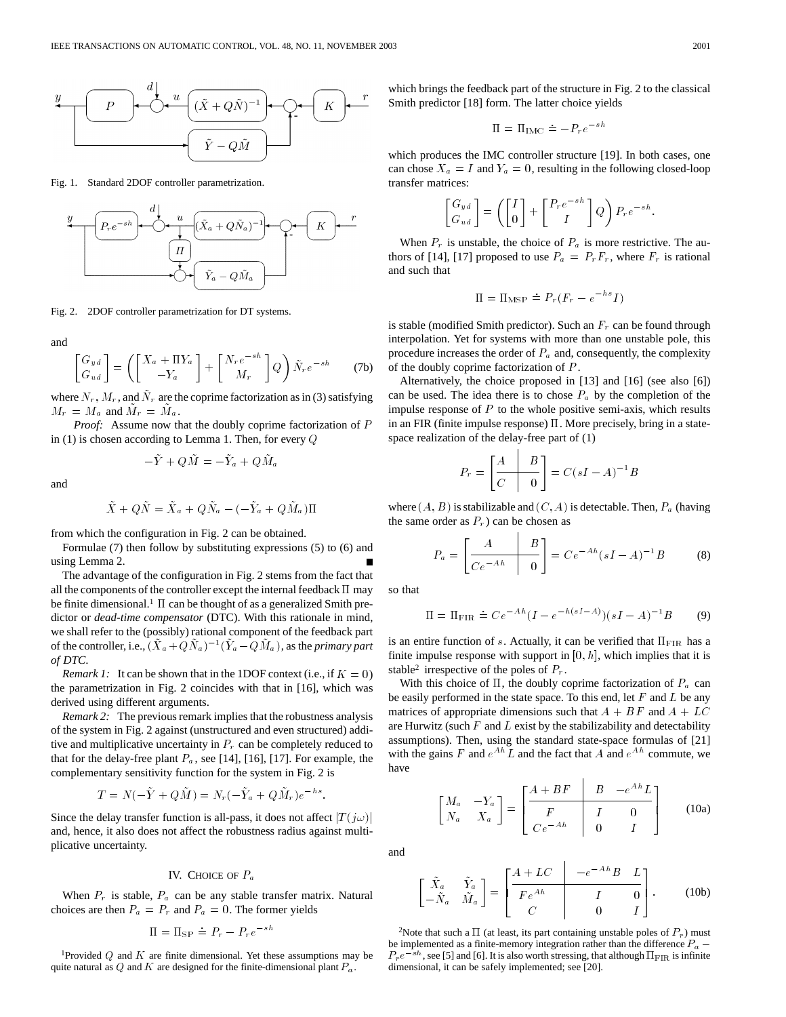

Fig. 1. Standard 2DOF controller parametrization.



Fig. 2. 2DOF controller parametrization for DT systems.

and

$$
\begin{bmatrix} G_{yd} \\ G_{ud} \end{bmatrix} = \left( \begin{bmatrix} X_a + \Pi Y_a \\ -Y_a \end{bmatrix} + \begin{bmatrix} N_r e^{-sh} \\ M_r \end{bmatrix} Q \right) \tilde{N}_r e^{-sh} \tag{7b}
$$

where  $N_r$ ,  $M_r$ , and  $\tilde{N}_r$  are the coprime factorization as in (3) satisfying  $M_r = M_a$  and  $\tilde{M}_r = \tilde{M}_a$ .

*Proof:* Assume now that the doubly coprime factorization of P in (1) is chosen according to Lemma 1. Then, for every Q

$$
-\tilde{Y} + Q\tilde{M} = -\tilde{Y}_a + Q\tilde{M}_a
$$

and

$$
\tilde{X} + Q\tilde{N} = \tilde{X}_a + Q\tilde{N}_a - (-\tilde{Y}_a + Q\tilde{M}_a)\Pi
$$

from which the configuration in Fig. 2 can be obtained.

Formulae (7) then follow by substituting expressions (5) to (6) and using Lemma 2.

The advantage of the configuration in Fig. 2 stems from the fact that all the components of the controller except the internal feedback  $\Pi$  may be finite dimensional.<sup>1</sup>  $\Pi$  can be thought of as a generalized Smith predictor or *dead-time compensator* (DTC). With this rationale in mind, we shall refer to the (possibly) rational component of the feedback part of the controller, i.e.,  $(\tilde{X}_a + Q\tilde{N}_a)^{-1}(\tilde{Y}_a - Q\tilde{M}_a)$ , as the *prim* we shall refer to the (possibly) rational component of the feedback part of the controller, i.e.,  $(X_a+QN_a)^{-1}(Y_a-QM_a)$ , as the *primary part of DTC*.

*Remark 1:* It can be shown that in the 1DOF context (i.e., if  $K = 0$ ) the parametrization in Fig. 2 coincides with that in [16], which was derived using different arguments.

*Remark 2:* The previous remark implies that the robustness analysis of the system in Fig. 2 against (unstructured and even structured) additive and multiplicative uncertainty in  $P_r$  can be completely reduced to that for the delay-free plant  $P_a$ , see [14], [16], [17]. For example, the complementary sensitivity function for the system in Fig. 2 is e delay-free plant  $P_a$ , see [14], [16], [17]. For exi-<br>ntary sensitivity function for the system in Fig. 2<br> $T = N(-\tilde{Y} + Q\tilde{M}) = N_r(-\tilde{Y}_a + Q\tilde{M}_r)e^{-hs}$ .

$$
T = N(-\tilde{Y} + Q\tilde{M}) = N_r(-\tilde{Y}_a + Q\tilde{M}_r)e^{-hs}
$$

Since the delay transfer function is all-pass, it does not affect  $|T(j\omega)|$ and, hence, it also does not affect the robustness radius against multiplicative uncertainty.

# IV. CHOICE OF  $P_a$

When  $P_r$  is stable,  $P_a$  can be any stable transfer matrix. Natural choices are then  $P_a = P_r$  and  $P_a = 0$ . The former yields be any stable tra<br>  $P_a = 0$ . The form<br>  $\dot{=} P_r - P_r e^{-sh}$ 

$$
\Pi = \Pi_{\rm SP} \doteq P_r - P_r e^{-s}
$$

<sup>1</sup>Provided  $Q$  and  $K$  are finite dimensional. Yet these assumptions may be quite natural as  $Q$  and  $K$  are designed for the finite-dimensional plant  $P_a$ .

which brings the feedback part of the structure in Fig. 2 to the classical Smith predictor [18] form. The latter choice yields<br>  $\Pi = \Pi_{\text{IMC}} \doteq -P_r e^{-sh}$ 

$$
\Pi = \Pi_{\rm IMC} \doteq -P_r e^{-}
$$

which produces the IMC controller structure [19]. In both cases, one can chose  $X_a = I$  and  $Y_a = 0$ , resulting in the following closed-loop<br>transfer matrices:<br> $\begin{bmatrix} G_{yd} \end{bmatrix} \begin{bmatrix} I \end{bmatrix} \begin{bmatrix} P_r e^{-sh} \end{bmatrix} \begin{bmatrix} O \end{bmatrix} P_r = sh$ transfer matrices:

$$
\begin{bmatrix} G_{yd} \\ G_{ud} \end{bmatrix} = \left( \begin{bmatrix} I \\ 0 \end{bmatrix} + \begin{bmatrix} P_r e^{-sh} \\ I \end{bmatrix} Q \right) P_r e^{-sh}.
$$

When  $P_r$  is unstable, the choice of  $P_a$  is more restrictive. The authors of [14], [17] proposed to use  $P_a = P_r F_r$ , where  $F_r$  is rational and such that use  $I_a = I_r I_r$ , w<br> $\stackrel{.}{=} P_r(F_r - e^{-hs}I)$ 

$$
\Pi = \Pi_{\text{MSP}} \doteq P_r (F_r - e^{-hs} I)
$$

is stable (modified Smith predictor). Such an  $F_r$  can be found through interpolation. Yet for systems with more than one unstable pole, this procedure increases the order of  $P_a$  and, consequently, the complexity of the doubly coprime factorization of P.

Alternatively, the choice proposed in [13] and [16] (see also [6]) can be used. The idea there is to chose  $P_a$  by the completion of the impulse response of  $P$  to the whole positive semi-axis, which results in an FIR (finite impulse response)  $\Pi$ . More precisely, bring in a statespace realization of the delay-free part of (1)

on of the delay-free part of (1)  

$$
P_r = \begin{bmatrix} \frac{A}{C} & B \\ 0 & 0 \end{bmatrix} = C(sI - A)^{-1}B
$$

where  $(A, B)$  is stabilizable and  $(C, A)$  is detectable. Then,  $P_a$  (having the same order as  $P_r$ ) can be chosen as

order as 
$$
P_r
$$
) can be chosen as  
\n
$$
P_a = \begin{bmatrix} A & B \\ \hline Ce^{-Ah} & 0 \end{bmatrix} = Ce^{-Ah} (sI - A)^{-1}B
$$
\n(8)

so that

$$
\Pi = \Pi_{\text{FIR}} \doteq Ce^{-Ah} (I - e^{-h(sI - A)})(sI - A)^{-1}B \tag{9}
$$

is an entire function of s. Actually, it can be verified that  $\Pi_{\rm FIR}$  has a finite impulse response with support in  $[0, h]$ , which implies that it is stable<sup>2</sup> irrespective of the poles of  $P_r$ .

With this choice of  $\Pi$ , the doubly coprime factorization of  $P_a$  can be easily performed in the state space. To this end, let  $F$  and  $L$  be any matrices of appropriate dimensions such that  $A + BF$  and  $A + LC$ are Hurwitz (such  $F$  and  $L$  exist by the stabilizability and detectability assumptions). Then, using the standard state-space formulas of [21] with the gains F and  $e^{Ah}L$  and the fact that A and  $e^{Ah}$  commute, we have

$$
\begin{bmatrix} M_a & -Y_a \\ N_a & X_a \end{bmatrix} = \begin{bmatrix} \frac{A + BF}{F} & B & -e^{Ah}L \\ \frac{F}{Ce^{-Ah}} & I & 0 \\ 0 & I \end{bmatrix}
$$
 (10a)

and

$$
\begin{bmatrix}\n\tilde{X}_a & \tilde{Y}_a \\
-\tilde{N}_a & \tilde{M}_a\n\end{bmatrix} = \begin{bmatrix}\nA + LC & -e^{-Ah}B & L \\
\hline\nF e^{Ah} & I & 0 \\
C & 0 & I\n\end{bmatrix}.
$$
\n(10b)

<sup>2</sup>Note that such a  $\Pi$  (at least, its part containing unstable poles of  $P_r$ ) must be implemented as a finite-memory integration rather than the difference  $P_a$  –  $P_r e^{-sh}$ , see [5] and [6]. It is also worth stressing, that although  $\Pi_{\text{FIR}}$  is infinite dimensional, it can be safely implemented; see [20].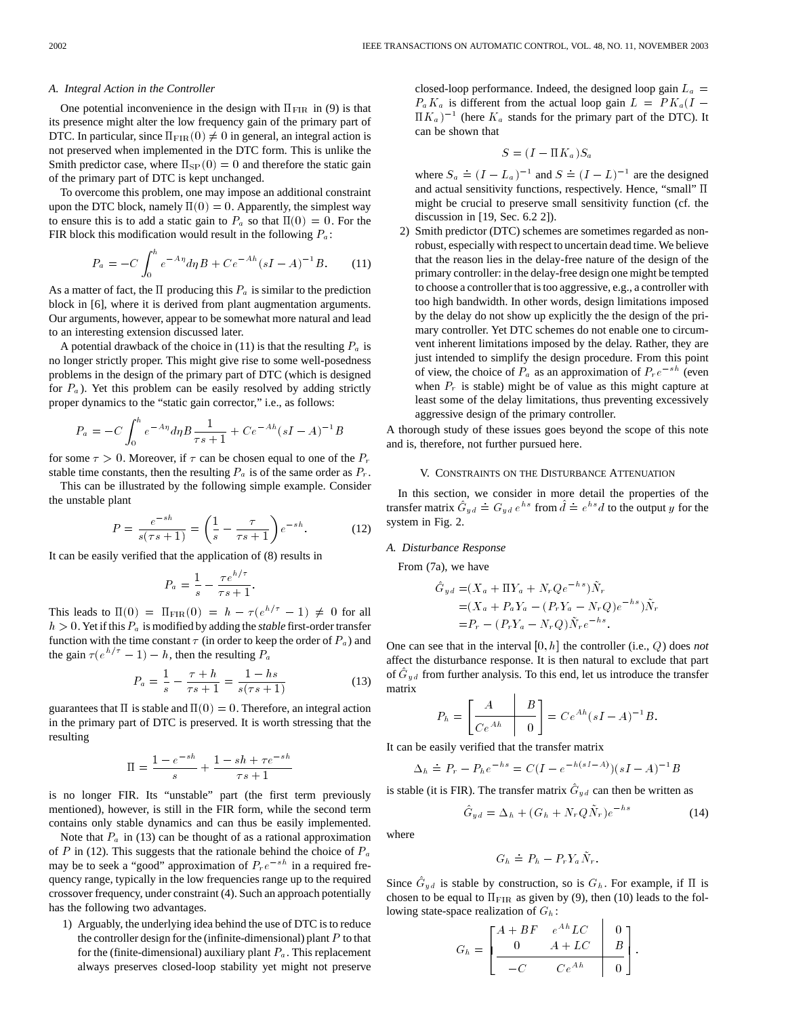#### *A. Integral Action in the Controller*

One potential inconvenience in the design with  $\Pi_{\text{FIR}}$  in (9) is that its presence might alter the low frequency gain of the primary part of DTC. In particular, since  $\Pi_{\mathrm{FIR}}(0) \neq 0$  in general, an integral action is not preserved when implemented in the DTC form. This is unlike the Smith predictor case, where  $\Pi_{SP}(0) = 0$  and therefore the static gain of the primary part of DTC is kept unchanged.

To overcome this problem, one may impose an additional constraint upon the DTC block, namely  $\Pi(0) = 0$ . Apparently, the simplest way to ensure this is to add a static gain to  $P_a$  so that  $\Pi(0) = 0$ . For the

FIR block this modification would result in the following 
$$
P_a
$$
:  
\n
$$
P_a = -C \int_0^h e^{-A\eta} d\eta B + Ce^{-Ah} (sI - A)^{-1} B.
$$
\n(11)

As a matter of fact, the  $\Pi$  producing this  $P_a$  is similar to the prediction block in [6], where it is derived from plant augmentation arguments. Our arguments, however, appear to be somewhat more natural and lead to an interesting extension discussed later.

A potential drawback of the choice in (11) is that the resulting  $P_a$  is no longer strictly proper. This might give rise to some well-posedness problems in the design of the primary part of DTC (which is designed for  $P_a$ ). Yet this problem can be easily resolved by adding strictly

proper dynamics to the "static gain corrector," i.e., as follows:  

$$
P_a = -C \int_0^h e^{-A\eta} d\eta B \frac{1}{\tau s + 1} + Ce^{-Ah} (sI - A)^{-1}B
$$

for some  $\tau > 0$ . Moreover, if  $\tau$  can be chosen equal to one of the  $P_r$ 

stable time constants, then the resulting  $P_a$  is of the same order as  $P_r$ . This can be illustrated by the following simple example. Consider<br>  $P = \frac{e^{-sh}}{(e^{-h} - 1)} = \left(\frac{1}{h} - \frac{T}{e^{-h}}\right) e^{-sh}.$  (12) the unstable plant

$$
P = \frac{e^{-sh}}{s(\tau s + 1)} = \left(\frac{1}{s} - \frac{\tau}{\tau s + 1}\right) e^{-sh}.
$$
 (12)

It can be easily verified that the application of (8) results in

$$
P_a = \frac{1}{s} - \frac{\tau e^{h/\tau}}{\tau s + 1}.
$$

This leads to  $\Pi(0) = \Pi_{\text{FIR}}(0) = h - \tau(e^{h/\tau} - 1) \neq 0$  for all  $h > 0$ . Yet if this  $P_a$  is modified by adding the *stable* first-order transfer function with the time constant  $\tau$  (in order to keep the order of  $P_a$ ) and the gain  $\tau(e^{h/\tau} - 1) - h$ , then the resulting  $P_a$ 

$$
P_a = \frac{1}{s} - \frac{\tau + h}{\tau s + 1} = \frac{1 - hs}{s(\tau s + 1)}
$$
(13)

guarantees that  $\Pi$  is stable and  $\Pi(0) = 0$ . Therefore, an integral action in the primary part of DTC is preserved. It is worth stressing that the<br>
resulting<br>  $\Pi = \frac{1 - e^{-sh}}{1 - sh + \tau e^{-sh}}$ resulting

$$
\Pi = \frac{1 - e^{-sh}}{s} + \frac{1 - sh + \tau e^{-sh}}{\tau s + 1}
$$

is no longer FIR. Its "unstable" part (the first term previously mentioned), however, is still in the FIR form, while the second term contains only stable dynamics and can thus be easily implemented.

Note that  $P_a$  in (13) can be thought of as a rational approximation of P in (12). This suggests that the rationale behind the choice of  $P_a$ may be to seek a "good" approximation of  $P_re^{-sh}$  in a required frequency range, typically in the low frequencies range up to the required crossover frequency, under constraint (4). Such an approach potentially has the following two advantages.

1) Arguably, the underlying idea behind the use of DTC is to reduce the controller design for the (infinite-dimensional) plant  $P$  to that for the (finite-dimensional) auxiliary plant  $P_a$ . This replacement always preserves closed-loop stability yet might not preserve closed-loop performance. Indeed, the designed loop gain  $L_a$  =  $P_a K_a$  is different from the actual loop gain  $L = P K_a (I$ closed-loop performance. Indeed, the designed loop gain  $L_a = P_a K_a$  is different from the actual loop gain  $L = P K_a (I - \Pi K_a)^{-1}$  (here  $K_a$  stands for the primary part of the DTC). It can be shown that

$$
S = (I - \Pi K_a) S_a
$$

 $S = (I - \Pi K_a)S_a$ <br>where  $S_a \doteq (I - L_a)^{-1}$  and  $S \doteq (I - L)^{-1}$  are the designed and actual sensitivity functions, respectively. Hence, "small"  $\Pi$ might be crucial to preserve small sensitivity function (cf. the discussion in [19, Sec. 6.2 2]).

2) Smith predictor (DTC) schemes are sometimes regarded as nonrobust, especially with respect to uncertain dead time. We believe that the reason lies in the delay-free nature of the design of the primary controller: in the delay-free design one might be tempted to choose a controller that is too aggressive, e.g., a controller with too high bandwidth. In other words, design limitations imposed by the delay do not show up explicitly the the design of the primary controller. Yet DTC schemes do not enable one to circumvent inherent limitations imposed by the delay. Rather, they are just intended to simplify the design procedure. From this point of view, the choice of  $P_a$  as an approximation of  $P_re^{-sh}$  (even when  $P_r$  is stable) might be of value as this might capture at least some of the delay limitations, thus preventing excessively aggressive design of the primary controller.

A thorough study of these issues goes beyond the scope of this note and is, therefore, not further pursued here.

## V. CONSTRAINTS ON THE DISTURBANCE ATTENUATION

In this section, we consider in more detail the properties of the transfer matrix  $\hat{G}_{yd} = G_{yd} e^{hs}$  from  $\hat{d} = e^{hs} d$  to the output y for the system in Fig. 2.

### *A. Disturbance Response*

From (7a), we have

a), we have  
\n
$$
\hat{G}_{yd} = (X_a + \Pi Y_a + N_r Qe^{-hs})\tilde{N}_r
$$
\n
$$
= (X_a + P_a Y_a - (P_r Y_a - N_r Q)e^{-hs})\tilde{N}_r
$$
\n
$$
= P_r - (P_r Y_a - N_r Q)\tilde{N}_r e^{-hs}.
$$

One can see that in the interval [0; h] the controller (i.e., Q) does *not* affect the disturbance response. It is then natural to exclude that part of  $\hat{G}_{yd}$  from further analysis. To this end, let us introduce the transfer<br>matrix<br> $P = \begin{bmatrix} A & B \end{bmatrix} = C e^{Ah} (eI - A)^{-1} P$ matrix

$$
P_h = \left[\begin{array}{c|c} A & B \\ \hline C e^{Ah} & 0 \end{array}\right] = Ce^{Ah}(sI - A)^{-1}B.
$$

It can be easily verified that the transfer matrix

be easily verified that the transfer matrix  
\n
$$
\Delta_h \doteq P_r - P_h e^{-hs} = C(I - e^{-h(sI - A)})(sI - A)^{-1}B
$$

is stable (it is FIR). The transfer matrix 
$$
\hat{G}_{yd}
$$
 can then be written as  
\n
$$
\hat{G}_{yd} = \Delta_h + (G_h + N_r Q \tilde{N}_r)e^{-hs}
$$
\n(14)

:

where

$$
G_h \doteq P_h - P_r Y_a \tilde{N}_r.
$$

Since  $\hat{G}_{yd}$  is stable by construction, so is  $G_h$ . For example, if  $\Pi$  is chosen to be equal to  $\Pi_{\rm FIR}$  as given by (9), then (10) leads to the following state-space realization of  $G_h$ :  $\mathbf{I}$ 

$$
G_h = \begin{bmatrix} A + BF & e^{Ah} LC & 0 \\ 0 & A + LC & B \\ -C & Ce^{Ah} & 0 \end{bmatrix}
$$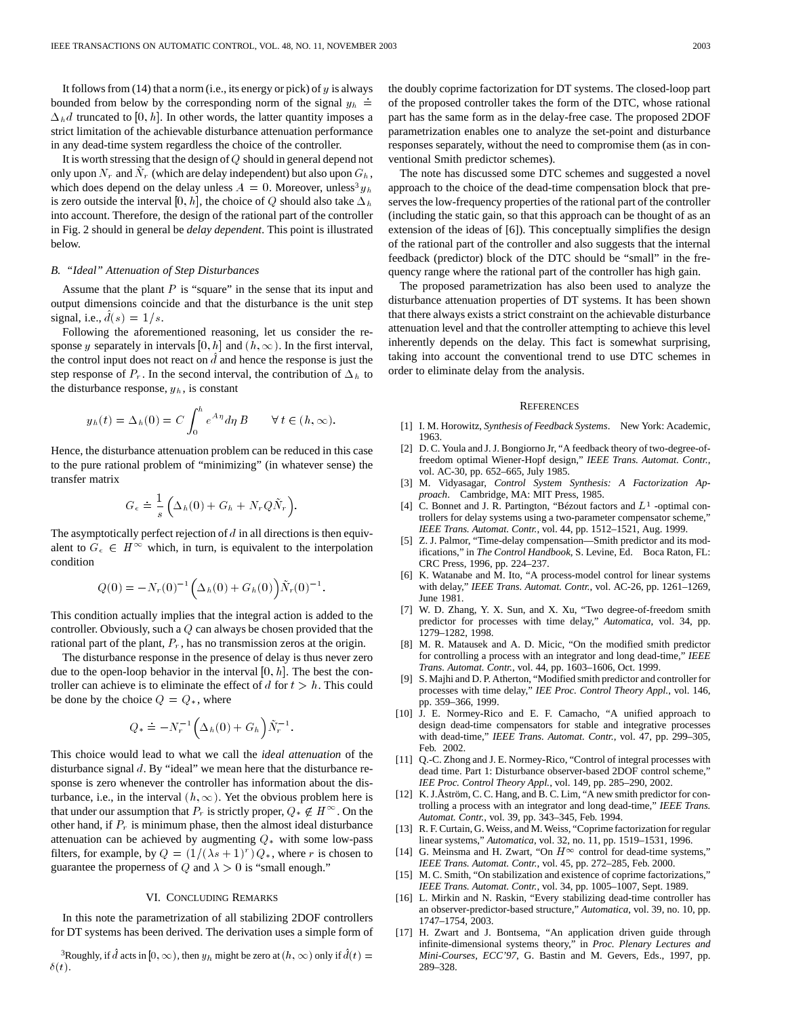It follows from (14) that a norm (i.e., its energy or pick) of  $y$  is always bounded from below by the corresponding norm of the signal  $y_h$  =  $\Delta_h d$  truncated to [0, h]. In other words, the latter quantity imposes a strict limitation of the achievable disturbance attenuation performance in any dead-time system regardless the choice of the controller.

It is worth stressing that the design of Q should in general depend not only upon  $N_r$  and  $N_r$  (which are delay independent) but also upon  $G_h$ , which does depend on the delay unless  $A = 0$ . Moreover, unless<sup>3</sup>  $y<sub>h</sub>$ is zero outside the interval [0, h], the choice of Q should also take  $\Delta_h$ into account. Therefore, the design of the rational part of the controller in Fig. 2 should in general be *delay dependent*. This point is illustrated below.

## *B. "Ideal" Attenuation of Step Disturbances*

Assume that the plant  $P$  is "square" in the sense that its input and output dimensions coincide and that the disturbance is the unit step signal, i.e.,  $d(s)=1/s$ .

Following the aforementioned reasoning, let us consider the response y separately in intervals [0, h] and  $(h,\infty)$ . In the first interval, the control input does not react on  $d$  and hence the response is just the step response of  $P_r$ . In the second interval, the contribution of  $\Delta_h$  to the disturbance response,  $y_h$ , is constant

$$
y_h(t) = \Delta_h(0) = C \int_0^h e^{A\eta} d\eta B \qquad \forall t \in (h, \infty).
$$

Hence, the disturbance attenuation problem can be reduced in this case to the pure rational problem of "minimizing" (in whatever sense) the transfer matrix

$$
G_{\epsilon} \doteq \frac{1}{s} \left( \Delta_h(0) + G_h + N_r Q \tilde{N}_r \right).
$$

The asymptotically perfect rejection of  $d$  in all directions is then equivalent to  $G_{\epsilon} \in H^{\infty}$  which, in turn, is equivalent to the interpolation condition

$$
Q(0) = -N_r(0)^{-1} \left(\Delta_h(0) + G_h(0)\right) \tilde{N}_r(0)^{-1}.
$$

This condition actually implies that the integral action is added to the controller. Obviously, such a Q can always be chosen provided that the rational part of the plant,  $P_r$ , has no transmission zeros at the origin.

The disturbance response in the presence of delay is thus never zero due to the open-loop behavior in the interval  $[0, h]$ . The best the controller can achieve is to eliminate the effect of  $d$  for  $t > h$ . This could be done by the choice  $Q = Q_*$ , where

$$
Q_* \doteq -N_r^{-1} \Big(\Delta_h(0)+G_h\Big) \tilde{N}_r^{-1}.
$$

This choice would lead to what we call the *ideal attenuation* of the disturbance signal  $d$ . By "ideal" we mean here that the disturbance response is zero whenever the controller has information about the disturbance, i.e., in the interval  $(h,\infty)$ . Yet the obvious problem here is that under our assumption that  $P_r$  is strictly proper,  $Q_* \notin H^\infty$ . On the other hand, if  $P_r$  is minimum phase, then the almost ideal disturbance attenuation can be achieved by augmenting  $Q_*$  with some low-pass filters, for example, by  $Q = (1/(\lambda s + 1)^r) Q_*$ , where r is chosen to guarantee the properness of  $Q$  and  $\lambda > 0$  is "small enough."

# VI. CONCLUDING REMARKS

In this note the parametrization of all stabilizing 2DOF controllers for DT systems has been derived. The derivation uses a simple form of

<sup>3</sup>Roughly, if d acts in [0,  $\infty$ ), then  $y_h$  might be zero at  $(h, \infty)$  only if  $d(t) =$  $\delta(t)$ .

the doubly coprime factorization for DT systems. The closed-loop part of the proposed controller takes the form of the DTC, whose rational part has the same form as in the delay-free case. The proposed 2DOF parametrization enables one to analyze the set-point and disturbance responses separately, without the need to compromise them (as in conventional Smith predictor schemes).

The note has discussed some DTC schemes and suggested a novel approach to the choice of the dead-time compensation block that preserves the low-frequency properties of the rational part of the controller (including the static gain, so that this approach can be thought of as an extension of the ideas of [6]). This conceptually simplifies the design of the rational part of the controller and also suggests that the internal feedback (predictor) block of the DTC should be "small" in the frequency range where the rational part of the controller has high gain.

The proposed parametrization has also been used to analyze the disturbance attenuation properties of DT systems. It has been shown that there always exists a strict constraint on the achievable disturbance attenuation level and that the controller attempting to achieve this level inherently depends on the delay. This fact is somewhat surprising, taking into account the conventional trend to use DTC schemes in order to eliminate delay from the analysis.

#### **REFERENCES**

- [1] I. M. Horowitz, *Synthesis of Feedback Systems*. New York: Academic, 1963.
- [2] D. C. Youla and J. J. Bongiorno Jr, "A feedback theory of two-degree-offreedom optimal Wiener-Hopf design," *IEEE Trans. Automat. Contr.*, vol. AC-30, pp. 652–665, July 1985.
- [3] M. Vidyasagar, *Control System Synthesis: A Factorization Approach*. Cambridge, MA: MIT Press, 1985.
- [4] C. Bonnet and J. R. Partington, "Bézout factors and  $L^1$  -optimal controllers for delay systems using a two-parameter compensator scheme," *IEEE Trans. Automat. Contr.*, vol. 44, pp. 1512–1521, Aug. 1999.
- [5] Z. J. Palmor, "Time-delay compensation—Smith predictor and its modifications," in *The Control Handbook*, S. Levine, Ed. Boca Raton, FL: CRC Press, 1996, pp. 224–237.
- [6] K. Watanabe and M. Ito, "A process-model control for linear systems with delay," *IEEE Trans. Automat. Contr.*, vol. AC-26, pp. 1261–1269, June 1981.
- [7] W. D. Zhang, Y. X. Sun, and X. Xu, "Two degree-of-freedom smith predictor for processes with time delay," *Automatica*, vol. 34, pp. 1279–1282, 1998.
- [8] M. R. Matausek and A. D. Micic, "On the modified smith predictor for controlling a process with an integrator and long dead-time," *IEEE Trans. Automat. Contr.*, vol. 44, pp. 1603–1606, Oct. 1999.
- [9] S. Majhi and D. P. Atherton, "Modified smith predictor and controller for processes with time delay," *IEE Proc. Control Theory Appl.*, vol. 146, pp. 359–366, 1999.
- [10] J. E. Normey-Rico and E. F. Camacho, "A unified approach to design dead-time compensators for stable and integrative processes with dead-time," *IEEE Trans. Automat. Contr.*, vol. 47, pp. 299–305, Feb. 2002.
- [11] Q.-C. Zhong and J. E. Normey-Rico, "Control of integral processes with dead time. Part 1: Disturbance observer-based 2DOF control scheme," *IEE Proc. Control Theory Appl.*, vol. 149, pp. 285–290, 2002.
- [12] K. J.Åström, C. C. Hang, and B. C. Lim, "A new smith predictor for controlling a process with an integrator and long dead-time," *IEEE Trans. Automat. Contr.*, vol. 39, pp. 343–345, Feb. 1994.
- [13] R. F. Curtain, G. Weiss, and M. Weiss, "Coprime factorization for regular linear systems," *Automatica*, vol. 32, no. 11, pp. 1519–1531, 1996.
- [14] G. Meinsma and H. Zwart, "On  $H^\infty$  control for dead-time systems," *IEEE Trans. Automat. Contr.*, vol. 45, pp. 272–285, Feb. 2000.
- [15] M. C. Smith, "On stabilization and existence of coprime factorizations," *IEEE Trans. Automat. Contr.*, vol. 34, pp. 1005–1007, Sept. 1989.
- [16] L. Mirkin and N. Raskin, "Every stabilizing dead-time controller has an observer-predictor-based structure," *Automatica*, vol. 39, no. 10, pp. 1747–1754, 2003.
- [17] H. Zwart and J. Bontsema, "An application driven guide through infinite-dimensional systems theory," in *Proc. Plenary Lectures and Mini-Courses, ECC'97*, G. Bastin and M. Gevers, Eds., 1997, pp. 289–328.